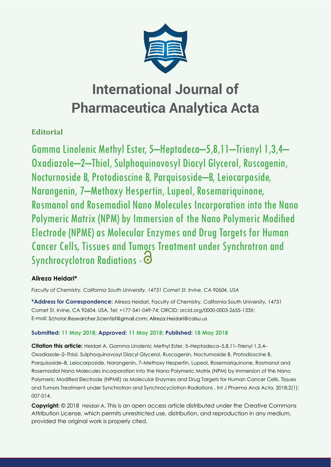

# **Editorial**

Gamma Linolenic Methyl Ester, 5–Heptadeca–5,8,11–Trienyl 1,3,4– Oxadiazole–2–Thiol, Sulphoquinovosyl Diacyl Glycerol, Ruscogenin, Nocturnoside B, Protodioscine B, Parquisoside–B, Leiocarposide, Narangenin, 7–Methoxy Hespertin, Lupeol, Rosemariquinone, Rosmanol and Rosemadiol Nano Molecules Incorporation into the Nano Polymeric Matrix (NPM) by Immersion of the Nano Polymeric Modified Electrode (NPME) as Molecular Enzymes and Drug Targets for Human Cancer Cells, Tissues and Tumors Treatment under Synchrotron and Synchrocyclotron Radiations -  $\odot$ 

## **Alireza Heidari\***

*Faculty of Chemistry, California South University, 14731 Comet St. Irvine, CA 92604, USA*

**\*Address for Correspondence:** Alireza Heidari, Faculty of Chemistry, California South University, 14731 Comet St. Irvine, CA 92604, USA, Tel: +177-541-049-74; ORCID: orcid.org/0000-0003-2655-133X; E-mail: Scholar.Researcher.Scientist@gmail.com; Alireza.Heidari@calsu.us

### **Submitted: 11 May 2018; Approved: 11 May 2018; Published: 18 May 2018**

**Citation this article:** Heidari A, Gamma Linolenic Methyl Ester, 5–Heptadeca–5,8,11–Trienyl 1,3,4– Oxadiazole–2–Thiol, Sulphoquinovosyl Diacyl Glycerol, Ruscogenin, Nocturnoside B, Protodioscine B, Parquisoside–B, Leiocarposide, Narangenin, 7–Methoxy Hespertin, Lupeol, Rosemariquinone, Rosmanol and Rosemadiol Nano Molecules Incorporation into the Nano Polymeric Matrix (NPM) by Immersion of the Nano Polymeric Modified Electrode (NPME) as Molecular Enzymes and Drug Targets for Human Cancer Cells, Tissues and Tumors Treatment under Synchrotron and Synchrocyclotron Radiations . Int J Pharma Anal Acta. 2018;2(1): 007-014.

**Copyright:** © 2018 Heidari A. This is an open access article distributed under the Creative Commons Attribution License, which permits unrestricted use, distribution, and reproduction in any medium, provided the original work is properly cited.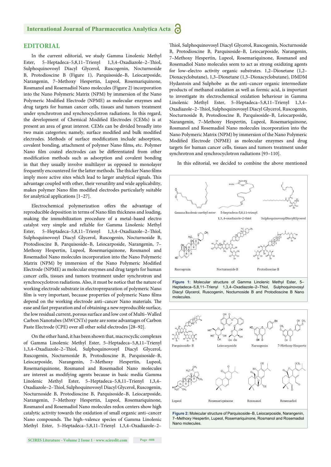#### **EDITORIAL**

In the current editorial, we study Gamma Linolenic Methyl Ester, 5–Heptadeca–5,8,11–Trienyl 1,3,4–Oxadiazole–2–Thiol, Sulphoquinovosyl Diacyl Glycerol, Ruscogenin, Nocturnoside B, Protodioscine B (Figure 1), Parquisoside–B, Leiocarposide, Narangenin, 7–Methoxy Hespertin, Lupeol, Rosemariquinone, Rosmanol and Rosemadiol Nano molecules (Figure 2) incorporation into the Nano Polymeric Matrix (NPM) by immersion of the Nano Polymeric Modified Electrode (NPME) as molecular enzymes and drug targets for human cancer cells, tissues and tumors treatment under synchrotron and synchrocyclotron radiations. In this regard, the development of Chemical Modified Electrodes (CEMs) is at present an area of great interest. CEMs can be divided broadly into two main categories; namely, surface modified and bulk modified electrodes. Methods of surface modification include adsorption, covalent bonding, attachment of polymer Nano films, etc. Polymer Nano film coated electrodes can be differentiated from other modification methods such as adsorption and covalent bonding in that they usually involve multilayer as opposed to monolayer frequently encountered for the latter methods. The thicker Nano films imply more active sites which lead to larger analytical signals. This advantage coupled with other, their versatility and wide applicability, makes polymer Nano film modified electrodes particularly suitable for analytical applications [1–27].

Electrochemical polymerization offers the advantage of reproducible deposition in terms of Nano film thickness and loading, making the immobilization procedure of a metal–based electro catalyst very simple and reliable for Gamma Linolenic Methyl Ester, 5-Heptadeca-5,8,11-Trienyl 1,3,4-Oxadiazole-2-Thiol, Sulphoquinovosyl Diacyl Glycerol, Ruscogenin, Nocturnoside B, Protodioscine B, Parquisoside–B, Leiocarposide, Narangenin, 7– Methoxy Hespertin, Lupeol, Rosemariquinone, Rosmanol and Rosemadiol Nano molecules incorporation into the Nano Polymeric Matrix (NPM) by immersion of the Nano Polymeric Modified Electrode (NPME) as molecular enzymes and drug targets for human cancer cells, tissues and tumors treatment under synchrotron and synchrocyclotron radiations. Also, it must be notice that the nature of working electrode substrate in electropreparation of polymeric Nano film is very important, because properties of polymeric Nano films depend on the working electrode anti-cancer Nano materials. The ease and fast preparation and of obtaining a new reproducible surface, the low residual current, porous surface and low cost of Multi–Walled Carbon Nanotubes (MWCNTs) paste are some advantages of Carbon Paste Electrode (CPE) over all other solid electrodes [28–92].

On the other hand, it has been shown that, macrocyclic complexes of Gamma Linolenic Methyl Ester, 5–Heptadeca–5,8,11–Trienyl 1,3,4-Oxadiazole-2-Thiol, Sulphoquinovosyl Diacyl Glycerol, Ruscogenin, Nocturnoside B, Protodioscine B, Parquisoside–B, Leiocarposide, Narangenin, 7–Methoxy Hespertin, Lupeol, Rosemariquinone, Rosmanol and Rosemadiol Nano molecules are interest as modifying agents because in basic media Gamma Linolenic Methyl Ester, 5–Heptadeca–5,8,11–Trienyl 1,3,4– Oxadiazole-2-Thiol, Sulphoquinovosyl Diacyl Glycerol, Ruscogenin, Nocturnoside B, Protodioscine B, Parquisoside–B, Leiocarposide, Narangenin, 7–Methoxy Hespertin, Lupeol, Rosemariquinone, Rosmanol and Rosemadiol Nano molecules redox centers show high catalytic activity towards the oxidation of small organic anti–cancer Nano compounds. The high-valence species of Gamma Linolenic Methyl Ester, 5–Heptadeca–5,8,11–Trienyl 1,3,4–Oxadiazole–2–

**SCIRES Literature - Volume 2 Issue 1 - www.scireslit.com Page -008**

Thiol, Sulphoquinovosyl Diacyl Glycerol, Ruscogenin, Nocturnoside B, Protodioscine B, Parquisoside–B, Leiocarposide, Narangenin, 7–Methoxy Hespertin, Lupeol, Rosemariquinone, Rosmanol and Rosemadiol Nano molecules seem to act as strong oxidizing agents for low–electro activity organic substrates. 1,2–Dioxetane (1,2– Dioxacyclobutane), 1,3–Dioxetane (1,3–Dioxacyclobutane), DMDM Hydantoin and Sulphobe as the anti–cancer organic intermediate products of methanol oxidation as well as formic acid, is important to investigate its electrochemical oxidation behaviour in Gamma Linolenic Methyl Ester, 5–Heptadeca–5,8,11–Trienyl 1,3,4– Oxadiazole-2-Thiol, Sulphoquinovosyl Diacyl Glycerol, Ruscogenin, Nocturnoside B, Protodioscine B, Parquisoside–B, Leiocarposide, Narangenin, 7–Methoxy Hespertin, Lupeol, Rosemariquinone, Rosmanol and Rosemadiol Nano molecules incorporation into the Nano Polymeric Matrix (NPM) by immersion of the Nano Polymeric Modified Electrode (NPME) as molecular enzymes and drug targets for human cancer cells, tissues and tumors treatment under synchrotron and synchrocyclotron radiations [93–110].

In this editorial, we decided to combine the above mentioned



Heptadeca–5,8,11–Trienyl 1,3,4–Oxadiazole–2–Thiol, Sulphoquinovosyl Diacyl Glycerol, Ruscogenin, Nocturnoside B and Protodioscine B Nano molecules.



**Figure 2:** Molecular structure of Parquisoside–B, Leiocarposide, Narangenin, 7–Methoxy Hespertin, Lupeol, Rosemariquinone, Rosmanol and Rosemadiol Nano molecules.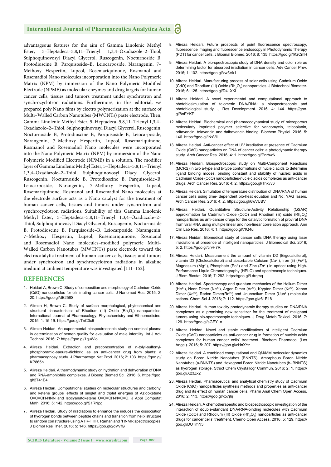advantageous features for the aim of Gamma Linolenic Methyl Ester, 5-Heptadeca-5,8,11-Trienyl 1,3,4-Oxadiazole-2-Thiol, Sulphoquinovosyl Diacyl Glycerol, Ruscogenin, Nocturnoside B, Protodioscine B, Parquisoside–B, Leiocarposide, Narangenin, 7– Methoxy Hespertin, Lupeol, Rosemariquinone, Rosmanol and Rosemadiol Nano molecules incorporation into the Nano Polymeric Matrix (NPM) by immersion of the Nano Polymeric Modified Electrode (NPME) as molecular enzymes and drug targets for human cancer cells, tissues and tumors treatment under synchrotron and synchrocyclotron radiations. Furthermore, in this editorial, we prepared poly Nano films by electro polymerization at the surface of Multi-Walled Carbon Nanotubes (MWCNTs) paste electrode. Then, Gamma Linolenic Methyl Ester, 5–Heptadeca–5,8,11–Trienyl 1,3,4– Oxadiazole-2-Thiol, Sulphoquinovosyl Diacyl Glycerol, Ruscogenin, Nocturnoside B, Protodioscine B, Parquisoside–B, Leiocarposide, Narangenin, 7–Methoxy Hespertin, Lupeol, Rosemariquinone, Rosmanol and Rosemadiol Nano molecules were incorporated into the Nano Polymeric Matrix (NPM) by immersion of the Nano Polymeric Modified Electrode (NPME) in a solution. The modifier layer of Gamma Linolenic Methyl Ester, 5–Heptadeca–5,8,11–Trienyl 1,3,4–Oxadiazole–2–Thiol, Sulphoquinovosyl Diacyl Glycerol, Ruscogenin, Nocturnoside B, Protodioscine B, Parquisoside–B, Leiocarposide, Narangenin, 7–Methoxy Hespertin, Lupeol, Rosemariquinone, Rosmanol and Rosemadiol Nano molecules at the electrode surface acts as a Nano catalyst for the treatment of human cancer cells, tissues and tumors under synchrotron and synchrocyclotron radiations. Suitability of this Gamma Linolenic Methyl Ester, 5–Heptadeca–5,8,11–Trienyl 1,3,4–Oxadiazole–2– Thiol, Sulphoquinovosyl Diacyl Glycerol, Ruscogenin, Nocturnoside B, Protodioscine B, Parquisoside–B, Leiocarposide, Narangenin, 7–Methoxy Hespertin, Lupeol, Rosemariquinone, Rosmanol and Rosemadiol Nano molecules-modified polymeric Multi-Walled Carbon Nanotubes (MWCNTs) paste electrode toward the electrocatalytic treatment of human cancer cells, tissues and tumors under synchrotron and synchrocyclotron radiations in alkaline medium at ambient temperature was investigated [111–152].

#### **REFERENCES**

- 1. Heidari A, Brown C. Study of composition and morphology of Cadmium Oxide (CdO) nanoparticles for eliminating cancer cells. J Nanomed Res. 2015; 2: 20. https://goo.gl/dE256S
- 2. Alireza H, Brown C. Study of surface morphological, phytochemical and structural characteristics of Rhodium (III) Oxide  $(Rh<sub>2</sub>O<sub>3</sub>)$  nanoparticles. International Journal of Pharmacology, Phytochemistry and Ethnomedicine. 2015; 1: 15-19. https://goo.gl/TnC3x9
- 3. Alireza Heidari. An experimental biospectroscopic study on seminal plasma in determination of semen quality for evaluation of male infertility. Int J Adv Technol. 2016; 7: https://goo.gl/1quWio
- 4. Alireza Heidari. Extraction and preconcentration of n-tolyl-sulfonylphosphoramid-saeure-dichlorid as an anti-cancer drug from plants: a pharmacognosy study. J Pharmacogn Nat Prod. 2016; 2: 103. https://goo.gl/ KP865h
- 5. Alireza Heidari. A thermodynamic study on hydration and dehydration of DNA and RNA-amphiphile complexes. J Bioeng Biomed Sci. 2016; 6. https://goo. gl/2T41E4
- 6. Alireza Heidari. Computational studies on molecular structures and carbonyl and ketene groups' effects of singlet and triplet energies of Azidoketene O=C=CH-NNN and Isocyanatoketene O=C=CH-N=C=O. J Appl Computat Math. 2016; 5: 142. https://goo.gl/S1RNpg
- 7. Alireza Heidari. Study of irradiations to enhance the induces the dissociation of hydrogen bonds between peptide chains and transition from helix structure to random coil structure using ATR-FTIR, Raman and 1 HNMR spectroscopies. J Biomol Res Ther. 2016; 5: 146. https://goo.gl/2dVVfG
- 8. Alireza Heidari. Future prospects of point fluorescence spectroscopy, fluorescence imaging and fluorescence endoscopy in Photodynamic Therapy (PDT) for cancer cells. J Bioanal Biomed. 2016; 8: 135. https://goo.gl/fKzCmH
- 9. Alireza Heidari. A bio-spectroscopic study of DNA density and color role as determining factor for absorbed irradiation in cancer cells. Adv Cancer Prev. 2016; 1: 102. https://goo.gl/zw3Vk1
- 10. Alireza Heidari. Manufacturing process of solar cells using Cadmium Oxide (CdO) and Rhodium (III) Oxide  $(Rh<sub>2</sub>O<sub>3</sub>)$  nanoparticles. J Biotechnol Biomater. 2016; 6: 125. https://goo.gl/D41XKi
- 11. Alireza Heidari. A novel experimental and computational approach to photobiosimulation of telomeric DNA/RNA: a biospectroscopic and photobiological study. J Res Development. 2016; 4: 144. https://goo. gl/8oEYKP
- 12. Alireza Heidari. Biochemical and pharmacodynamical study of microporous molecularly imprinted polymer selective for vancomycin, teicoplanin, oritavancin, telavancin and dalbavancin binding. Biochem Physiol. 2016; 5: 146. https://goo.gl/iNxVii
- 13. Alireza Heidari. Anti-cancer effect of UV irradiation at presence of Cadmium Oxide (CdO) nanoparticles on DNA of cancer cells: a photodynamic therapy study. Arch Cancer Res. 2016; 4: 1. https://goo.gl/PnrhwN
- 14. Alireza Heidari. Biospectroscopic study on Multi-Component Reactions (MCRS) in two a-type and b-type conformations of nucleic acids to determine ligand binding modes, binding constant and stability of nucleic acids in Cadmium Oxide (CdO) nanoparticles-nucleic acids complexes as anti-cancer drugs. Arch Cancer Res. 2016; 4: 2. https://goo.gl/Thxvv6
- 15. Alireza Heidari. Simulation of temperature distribution of DNA/RNA of human cancer cells using time- dependent bio-heat equation and Nd: YAG lasers. Arch Cancer Res. 2016; 4: 2. https://goo.gl/6wVUBV
- 16. Alireza Heidari. Quantitative Structure-Activity Relationship (QSAR) approximation for Cadmium Oxide (CdO) and Rhodium (iii) oxide  $(Rh_2O_3)$ nanoparticles as anti-cancer drugs for the catalytic formation of proviral DNA from viral RNA using multiple linear and non-linear correlation approach. Ann Clin Lab Res. 2016; 4: 1. https://goo.gl/7fQ4ui
- 17. Alireza Heidari. Biomedical study of cancer cells DNA therapy using laser irradiations at presence of intelligent nanoparticles. J Biomedical Sci. 2016; 5: 2. https://goo.gl/crvH7R
- 18. Alireza Heidari. Measurement the amount of vitamin D2 (Ergocalciferol), vitamin D3 (Cholecalciferol) and absorbable Calcium (Ca<sup>2+</sup>), Iron (ii) (Fe<sup>2+</sup>) Magnesium (Mg<sup>2+</sup>), Phosphate (Po<sup>4-</sup>) and Zinc (Zn<sup>2+</sup>) in apricot using High-Performance Liquid Chromatography (HPLC) and spectroscopic techniques. J Biom Biostat. 2016; 7: 292. https://goo.gl/Ldrqmq
- 19. Alireza Heidari. Spectroscopy and quantum mechanics of the Helium Dimer (He<sup>2+</sup>), Neon Dimer (Ne<sup>2+</sup>), Argon Dimer (Ar<sup>2+</sup>), Krypton Dimer (Kr<sup>2+</sup>), Xenon Dimer (Xe<sup>2+</sup>), Radon Dimer(Rn<sup>2+</sup>) and Ununoctium Dimer (Uuo<sup>2+</sup>) molecular cations. Chem Sci J. 2016; 7: 112. https://goo.gl/r61E18
- 20. Alireza Heidari. Human toxicity photodynamic therapy studies on DNA/RNA complexes as a promising new sensitizer for the treatment of malignant tumors using bio-spectroscopic techniques. J Drug Metab Toxicol. 2016; 7: 129. https://goo.gl/sGEY1o
- 21. Alireza Heidari. Novel and stable modifications of intelligent Cadmium Oxide (CdO) nanoparticles as anti-cancer drug in formation of nucleic acids complexes for human cancer cells' treatment. Biochem Pharmacol (Los Angel). 2016; 5: 207. https://goo.gl/cHnXYz
- 22. Alireza Heidari. A combined computational and QM/MM molecular dynamics study on Boron Nitride Nanotubes (BNNTS), Amorphous Boron Nitride Nanotubes (a-BNNTS) and Hexagonal Boron Nitride Nanotubes (h- BNNTS) as hydrogen storage. Struct Chem Crystallogr Commun. 2016; 2: 1. https:// goo.gl/X23Zk2
- 23. Alireza Heidari. Pharmaceutical and analytical chemistry study of Cadmium Oxide (CdO) nanoparticles synthesis methods and properties as anti-cancer drug and its effect on human cancer cells. Pharm Anal Chem Open Access. 2016; 2: 113. https://goo.gl/xo7j6j
- 24. Alireza Heidari. A chemotherapeutic and biospectroscopic investigation of the interaction of double-standard DNA/RNA-binding molecules with Cadmium Oxide (CdO) and Rhodium (III) Oxide  $(Rh<sub>2</sub>O<sub>3</sub>)$  nanoparticles as anti-cancer drugs for cancer cells' treatment. Chemo Open Access. 2016; 5: 129. https:// goo.gl/DUTmN3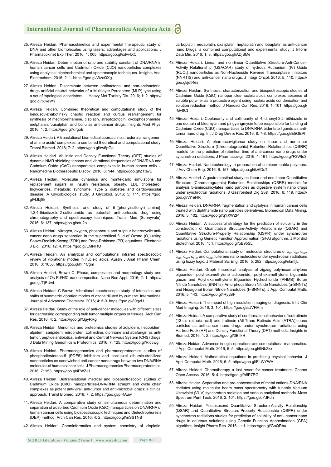- 25. Alireza Heidari. Pharmacokinetics and experimental therapeutic study of DNA and other biomolecules using lasers: advantages and applications. J Pharmacokinet Exp Ther. 2016; 1: 005. https://goo.gl/cdw4XC
- 26. Alireza Heidari. Determination of ratio and stability constant of DNA/RNA in human cancer cells and Cadmium Oxide (CdO) nanoparticles complexes using analytical electrochemical and spectroscopic techniques. Insights Anal Electrochem. 2016; 2: 1. https://goo.gl/WzcQXg
- 27. Alireza Heidari. Discriminate between antibacterial and non-antibacterial drugs artificial neutral networks of a Multilayer Perceptron (MLP) type using a set of topological descriptors. J Heavy Met Toxicity Dis. 2016; 1: 2. https:// goo.gl/tkKeWY
- 28. Alireza Heidari. Combined theoretical and computational study of the belousov-zhabotinsky chaotic reaction and curtius rearrangement for synthesis of mechlorethamine, cisplatin, streptozotocin, cyclophosphamide, melphalan, busulphan and bcnu as anti-cancer drugs. Insights Med Phys. 2016; 1: 2. https://goo.gl/xifgoE
- 29. Alireza Heidari. A translational biomedical approach to structural arrangement of amino acids' complexes: a combined theoretical and computational study. Transl Biomed. 2016; 7: 2. https://goo.gl/rw6pGp
- 30. Alireza Heidari. Ab initio and Density Functional Theory (DFT) studies of dynamic NMR shielding tensors and vibrational frequencies of DNA/RNA and Cadmium Oxide (CdO) nanoparticles complexes in human cancer cells. J Nanomedine Biotherapeutic Discov. 2016; 6: 144. https://goo.gl/Z1tavD
- 31. Alireza Heidari. Molecular dynamics and monte-carlo simulations for replacement sugars in insulin resistance, obesity, LDL cholesterol, triglycerides, metabolic syndrome, Type 2 diabetes and cardiovascular disease: A Glycobiological study. J Glycobiol. 2016; 5: 111. https://goo. gl/4Jbj8k
- 32. Alireza Heidari. Synthesis and study of 5-[(phenylsulfonyl) amino]- 1,3,4-thiadiazole-2-sulfonamide as potential anti-pertussis drug using chromatography and spectroscopy techniques. Transl Med (Sunnyvale). 2016; 6: 137. https://goo.gl/atu2oi
- 33. Alireza Heidari. Nitrogen, oxygen, phosphorus and sulphur heterocyclic anticancer nano drugs separation in the supercritical fluid of Ozone  $(O_3)$  using Soave-Redlich-Kwong (SRK) and Pang-Robinson (PR) equations. Electronic J Biol. 2016; 12: 4. https://goo.gl/LMNFfU
- 34. Alireza Heidari. An analytical and computational infrared spectroscopic review of vibrational modes in nucleic acids. Austin J Anal Pharm Chem. 2016; 3: 1058. https://goo.gl/hF1Cgm
- 35. Alireza Heidari, Brown C. Phase, composition and morphology study and analysis of Os-Pd/HfC nanocomposites. Nano Res Appl. 2016; 2: 1. https:// goo.gl/TjPUwf
- 36. Alireza Heidari, C Brown. Vibrational spectroscopic study of intensities and shifts of symmetric vibration modes of ozone diluted by cumene. International Journal of Advanced Chemistry. 2016; 4: 5-9. https://goo.gl/89gvfJ
- 37. Alireza Heidari. Study of the role of anti-cancer molecules with different sizes for decreasing corresponding bulk tumor multiple organs or tissues. Arch Can Res. 2016; 4: 2. https://goo.gl/QgyRRg
- 38. Alireza Heidari. Genomics and proteomics studies of zolpidem, necopidem, alpidem, saripidem, miroprofen, zolimidine, olprinone and abafungin as antitumor, peptide antibiotics, antiviral and Central Nervous System (CNS) drugs. J Data Mining Genomics & Proteomics. 2016; 7: 125. https://goo.gl/Riqvwg
- 39. Alireza Heidari. Pharmacogenomics and pharmacoproteomics studies of phosphodiesterase-5 (PDE5) inhibitors and paclitaxel albumin-stabilized nanoparticles as sandwiched anti-cancer nano drugs between two DNA/RNA molecules of human cancer cells. J Pharmacogenomics Pharmacoproteomics. 2016; 7: 153. https://goo.gl/iFWZJ1
- 40. Alireza Heidari. Biotranslational medical and biospectroscopic studies of Cadmium Oxide (CdO) nanoparticles-DNA/RNA straight and cycle chain complexes as potent anti-viral, anti-tumor and anti-microbial drugs: a clinical approach. Transl Biomed. 2016; 7: 2. https://goo.gl/piRAuw
- 41. Alireza Heidari. A comparative study on simultaneous determination and separation of adsorbed Cadmium Oxide (CdO) nanoparticles on DNA/RNA of human cancer cells using biospectroscopic techniques and Dielectrophoresis (DEP) method. Arch Can Res. 2016; 4: 2. https://goo.gl/mSSTNB
- 42. Alireza Heidari. Cheminformatics and system chemistry of cisplatin,

carboplatin, nedaplatin, oxaliplatin, heptaplatin and lobaplatin as anti-cancer nano Drugs: a combined computational and experimental study. J Inform Data Min. 2016; 1: 3. https://goo.gl/ADjSMe

- 43. Alireza Heidari. Linear and non-linear Quantitative Structure-Anti-Cancer-Activity Relationship (QSACAR) study of hydrous Ruthenium (IV) Oxide (RUO<sub>2</sub>) nanoparticles as Non-Nucleoside Reverse Transcriptase Inhibitors (NNRTIS) and anti-cancer nano drugs. J Integr Oncol. 2016; 5: 110. https:// goo.gl/jdtRes
- 44. Alireza Heidari. Synthesis, characterization and biospectroscopic studies of Cadmium Oxide (CdO) nanoparticles-nucleic acids complexes absence of soluble polymer as a protective agent using nucleic acids condensation and solution reduction method. J Nanosci Curr Res. 2016; 1: 101. https://goo.gl/ rGv8Ct
- 45. Alireza Heidari. Coplanarity and collinearity of 4'-dinonyl-2,2'-bithiazole in one domain of bleomycin and pingyangmycin to be responsible for binding of Cadmium Oxide (CdO) nanoparticles to DNA/RNA bidentate ligands as antitumor nano drug. Int J Drug Dev & Res. 2016; 8: 7-8. https://goo.gl/E5GEPh
- 46. Alireza Heidari. A pharmacovigilance study on linear and non-linear Quantitative Structure (Chromatographic) Retention Relationships (QSRR) models for the prediction of retention time of anti-cancer nano drugs under synchrotron radiations. J Pharmacovigil. 2016; 4: 161. https://goo.gl/F3Wfo3
- 47. Alireza Heidari. Nanotechnology in preparation of semipermeable polymers. J Adv Chem Eng. 2016; 6: 157. https://goo.gl/5z6DsT
- 48. Alireza Heidari. A gastrointestinal study on linear and non-linear Quantitative Structure (Chromatographic) Retention Relationships (QSRR) models for analysis 5-aminosalicylates nano particles as digestive system nano drugs under synchrotron radiations. J Gastrointest Dig Syst. 2016; 6: 119. https:// goo.gl/Vi1eNR
- 49. Alireza Heidari. DNA/RNA fragmentation and cytolysis in human cancer cells treated with diphthamide nano particles derivatives. Biomedical Data Mining. 2016; 5: 102. https://goo.gl/qYXWZP
- 50. Alireza Heidari. A successful strategy for the prediction of solubility in the construction of Quantitative Structure-Activity Relationship (QSAR) and Quantitative Structure-Property Relationship (QSPR) under synchrotron radiations using Genetic Function Approximation (GFA) algorithm. J Mol Biol Biotechnol. 2016; 1: 1. https://goo.gl/oB95SL
- 51. Alireza Heidari. Computational study on molecular structures of  $c_{20}$ ,  $c_{60}$ ,  $c_{240}$  $c_{540}$ ,  $c_{960}$ ,  $c_{2160}$  and  $c_{3840}$  fullerene nano molecules under synchrotron radiations using fuzzy logic. J Material Sci Eng. 2016; 5: 282. https://goo.gl/nkmfjL
- 52. Alireza Heidari. Graph theoretical analysis of zigzag polyhexamethylene biguanide, polyhexamethylene adipamide, polyhexamethylene biguanide gauze and Polyhexamethylene Biguanide Hydrochloride (PHMB) Boron Nitride Nanotubes (BNNTs), Amorphous Boron Nitride Nanotubes (a-BNNTs) and Hexagonal Boron Nitride Nanotubes (h-BNNTs). J Appl Computat Math. 2016; 5: 143. https://goo.gl/iRyyBF
- 53. Alireza Heidari. The impact of high resolution imaging on diagnosis. Int J Clin Med Imaging. 2016; 3: 101. https://goo.gl/sJVFMm
- 54. Alireza Heidari. A comparative study of conformational behavior of isotretinoin (13-cis retinoic acid) and tretinoin (All-Trans Retinoic Acid (ATRA)) nano particles as anti-cancer nano drugs under synchrotron radiations using Hartree-Fock (HF) and Density Functional Theory (DFT) methods. Insights in Biomed. 2016; 1: 2. https://goo.gl/3BifkH
- 55. Alireza Heidari. Advances in logic, operations and computational mathematics. J Appl Computat Math. 2016; 5: 5. https://goo.gl/9Nb2kx
- 56. Alireza Heidari. Mathematical equations in predicting physical behavior. J Appl Computat Math. 2016; 5: 5. https://goo.gl/ELWYWA
- 57. Alireza Heidari. Chemotherapy a last resort for cancer treatment. Chemo Open Access. 2016; 5: 4. https://goo.gl/h5P7EG
- 58. Alireza Heidar. Separation and pre-concentration of metal cations-DNA/RNA chelates using molecular beam mass spectrometry with tunable Vacuum Ultraviolet (VUV) synchrotron radiation and various analytical methods. Mass Spectrom Purif Tech. 2016; 2: 101. https://goo.gl/dYJFdn
- 59. Alireza Heidari. Yoctosecond Quantitative Structure-Activity Relationship (QSAR) and Quantitative Structure-Property Relationship (QSPR) under synchrotron radiations studies for prediction of solubility of anti- cancer nano drugs in aqueous solutions using Genetic Function Approximation (GFA) algorithm. Insight Pharm Res. 2016; 1: 1. https://goo.gl/GoQRbu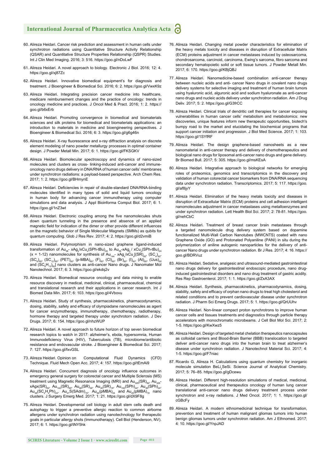- 60. Alireza Heidari. Cancer risk prediction and assessment in human cells under synchrotron radiations using Quantitative Structure Activity Relationship (QSAR) and Quantitative Structure Properties Relationship (QSPR) Studies. Int J Clin Med Imaging. 2016; 3: 516. https://goo.gl/nDoLwF
- 61. Alireza Heidari. A novel approach to biology. Electronic J Biol. 2016; 12: 4. https://goo.gl/xj87Zc
- 62. Alireza Heidari. Innovative biomedical equipment's for diagnosis and treatment. J Bioengineer & Biomedical Sci. 2016; 6: 2. https://goo.gl/VwxK9z
- 63. Alireza Heidari. Integrating precision cancer medicine into healthcare, medicare reimbursement changes and the practice of oncology: trends in oncology medicine and practices. J Oncol Med & Pract. 2016; 1: 2. https:// goo.gl/b6xErb
- 64. Alireza Heidari. Promoting convergence in biomedical and biomaterials sciences and silk proteins for biomedical and biomaterials applications: an introduction to materials in medicine and bioengineering perspectives. J Bioengineer & Biomedical Sci. 2016; 6: 3. https://goo.gl/g6g46n
- 65. Alireza Heidari. X-ray fluorescence and x-ray diffraction analysis on discrete element modeling of nano powder metallurgy processes in optimal container design. J Powder Metall Min. 2017; 6: 1. https://goo.gl/FKSGKV
- 66. Alireza Heidari. Biomolecular spectroscopy and dynamics of nano-sized molecules and clusters as cross- linking-induced anti-cancer and immuneoncology nano drugs delivery in DNA/RNA of human cancer cells' membranes under synchrotron radiations: a payload-based perspective. Arch Chem Res. 2017; 1: 2. https://goo.gl/BHmynE
- 67. Alireza Heidari. Deficiencies in repair of double-standard DNA/RNA-binding molecules identified in many types of solid and liquid tumors oncology in human body for advancing cancer immunotherapy using computer simulations and data analysis. J Appl Bioinforma Comput Biol. 2017; 6: 1. https://goo.gl/1nZ3wt
- 68. Alireza Heidari. Electronic coupling among the five nanomolecules shuts down quantum tunneling in the presence and absence of an applied magnetic field for indication of the dimer or other provide different influences on the magnetic behavior of Single Molecular Magnets (SMMs) as qubits for quantum computing. Glob J Res Rev. 2017; 4: 2. https://goo.gl/d2vmiB
- 69. Alireza Heidari. Polymorphism in nano-sized graphene ligand-induced transformation of Au<sub>38</sub>- xAg<sub>x</sub>/xCu<sub>x</sub>(SPh-tBu)<sub>24</sub> to Au<sub>36</sub>-xAg<sub>x</sub> / xCu<sub>x</sub>(SPh-tBu)<sub>24</sub> (x = 1-12) nanomolecules for synthesis of  $Au_{144}$ - xAg<sub>x</sub>/xCu<sub>x</sub>[(SR)<sub>60</sub>, (SC<sub>4</sub>)<sub>60</sub>,  $\left(\mathsf{SC}_6\right)_{60}, \ \left(\mathsf{SC}_{12}\right)_{60}, \ \left(\mathsf{PET}\right)_{60}, \ \left(\mathsf{p}\text{-MBA}\right)_{60}, \ \left(\mathsf{F}\right)_{60}, \ \left(\mathsf{CI}\right)_{60}, \ \left(\mathsf{Br}\right)_{60}, \ \left(\mathsf{At}\right)_{60}, \ \left(\mathsf{Uus}\right)_{60}$ and (SC<sub>6</sub>H<sub>13</sub>)<sub>60</sub>] nano clusters as anti-cancer Nano drugs. J Nanomater Mol Nanotechnol. 2017; 6: 3. https://goo.gl/ekdq2v
- 70. Alireza Heidari. Biomedical resource oncology and data mining to enable resource discovery in medical, medicinal, clinical, pharmaceutical, chemical and translational research and their applications in cancer research. Int J Biomed Data Min. 2017; 6: 103. https://goo.gl/4Vbovu
- 71. Alireza Heidari. Study of synthesis, pharmacokinetics, pharmacodynamics, dosing, stability, safety and efficacy of olympiadane nanomolecules as agent for cancer enzymotherapy, immunotherapy, chemotherapy, radiotherapy, hormone therapy and targeted therapy under synchrotorn radiation. J Dev Drugs. 2017; 6: 154. https://goo.gl/nhzWUP
- 72. Alireza Heidari. A novel approach to future horizon of top seven biomedical research topics to watch in 2017: alzheimer's, ebola, hypersomnia, Human Immunodeficiency Virus (HIV), Tuberculosis (TB), microbiome/antibiotic resistance and endovascular stroke. J Bioengineer & Biomedical Sci. 2017; 7: 127. https://goo.gl/fxvGSL
- 73. Alireza Heidari. Opinion on Computational Fluid Dynamics (CFD) Technique. Fluid Mech Open Acc. 2017; 4: 157. https://goo.gl/tEmAi9
- 74. Alireza Heidari. Concurrent diagnosis of oncology influence outcomes in emergency general surgery for colorectal cancer and Multiple Sclerosis (MS) treatment using Magnetic Resonance Imaging (MRI) and  $Au_{329}$ (SR) $_{84}$ , Au<sub>329</sub> $xAgx(SR)_{84}$ , Au $_{144}(SR)_{60}$ , Au $_{68}(SR)_{36}$ , Au $_{30}(SR)_{18}$ , Au $_{102}(SPh)_{44}$ , Au $_{38}(SPh)_{24}$ ,  ${\sf Au}_{38}({\sf SC}_2{\sf H}_4{\sf Ph})_{24}$ ,  ${\sf Au}_{21}{\sf S}({\sf SAdm})_{15}$ ,  ${\sf Au}_{36}({\sf pMBA})_{24}$  and  ${\sf Au}_{25}({\sf pMBA})_{18}$  nano clusters. J Surgery Emerg Med. 2017; 1: 21. https://goo.gl/dX9F8g
- 75. Alireza Heidari. Developmental cell biology in adult stem cells death and autophagy to trigger a preventive allergic reaction to common airborne allergens under synchrotron radiation using nanotechnology for therapeutic goals in particular allergy shots (Immunotherapy). Cell Biol (Henderson, NV). 2017; 6: 1. https://goo.gl/tNY5hk
- 76. Alireza Heidari. Changing metal powder characteristics for elimination of the heavy metals toxicity and diseases in disruption of Extracellular Matrix (ECM) proteins adjustment in cancer metastases induced by osteosarcoma, chondrosarcoma, carcinoid, carcinoma, Ewing's sarcoma, fibro sarcoma and secondary hematopoietic solid or soft tissue tumors. J Powder Metall Min. 2017; 6: 170. https://goo.gl/KBjQBJ
- 77. Alireza Heidari. Nanomedicine-based combination anti-cancer therapy between nucleic acids and anti- cancer Nano drugs in covalent nano drugs delivery systems for selective imaging and treatment of human brain tumors using hyaluronic acid, alguronic acid and sodium hyaluronate as anti-cancer nano drugs and nucleic acids delivery under synchrotron radiation. Am J Drug Deliv. 2017; 5: 2. https://goo.gl/G3frCC
- 78. Alireza Heidari. Clinical trials of dendritic cell therapies for cancer exposing vulnerabilities in human cancer cells' metabolism and metabolomics: new discoveries, unique features inform new therapeutic opportunities, biotech's bumpy road to the market and elucidating the biochemical programs that support cancer initiation and progression. J Biol Med Science. 2017; 1: 103. https://goo.gl/1SYfRF
- 79. Alireza Heidari. The design graphene-based nanosheets as a new nanomaterial in anti-cancer therapy and delivery of chemotherapeutics and biological nano drugs for liposomal anti-cancer nano drugs and gene delivery. Br Biomed Bull. 2017; 5: 305. https://goo.gl/msKEsA
- 80. Alireza Heidari. Integrative approach to biological networks for emerging roles of proteomics, genomics and transcriptomics in the discovery and validation of human colorectal cancer biomarkers from DNA/RNA sequencing data under synchrotron radiation. Transcriptomics. 2017; 5: 117. https://goo. gl/af8jyY
- 81. Alireza Heidari. Elimination of the heavy metals toxicity and diseases in disruption of Extracellular Matrix (ECM) proteins and cell adhesion intelligent nanomolecules adjustment in cancer metastases using metalloenzymes and under synchrotron radiation. Lett Health Biol Sci. 2017; 2: 78-81. https://goo. gl/nehCbC
- 82. Alireza Heidari. Treatment of breast cancer brain metastases through a targeted nanomolecule drug delivery system based on dopamine functionalized Multi-Wall Carbon Nanotubes (MWCNTS) coated with nano Graphene Oxide (GO) and Protonated Polyaniline (PANI) in situ during the polymerization of aniline autogenic nanoparticles for the delivery of anticancer Nano drugs under synchrotron radiation. Br J Res. 2017; 4: 16. https:// goo.gl/BDRVuz
- 83. Alireza Heidari. Sedative, analgesic and ultrasound-mediated gastrointestinal nano drugs delivery for gastrointestinal endoscopic procedure, nano druginduced gastrointestinal disorders and nano drug treatment of gastric acidity. Res Rep Gastroenterol. 2017; 1: 1. https://goo.gl/ZxA3AX
- 84. Alireza Heidari. Synthesis, pharmacokinetics, pharmacodynamics, dosing, stability, safety and efficacy of orphan nano drugs to treat high cholesterol and related conditions and to prevent cardiovascular disease under synchrotron radiation. J Pharm Sci Emerg Drugs. 2017; 5: 1. https://goo.gl/QrUUhv
- 85. Alireza Heidari. Non-linear compact proton synchrotrons to improve human cancer cells and tissues treatments and diagnostics through particle therapy accelerators with monochromatic microbeams. J Cell Biol Mol Sci. 2017; 2: 1-5. https://goo.gl/KwXwz5
- 86. Alireza Heidari. Design of targeted metal chelation therapeutics nanocapsules as colloidal carriers and Blood-Brain Barrier (BBB) translocation to targeted deliver anti-cancer nano drugs into the human brain to treat alzheimer's disease under synchrotron radiation. J Nanotechnol Material Sci. 2017; 4: 1-5. https://goo.gl/F7niac
- 87. Ricardo G, Alireza H. Calculations using quantum chemistry for inorganic molecule simulation BeLi<sub>2</sub>SeSi. Science Journal of Analytical Chemistry. 2017; 5: 76–85. https://goo.gl/gDcewu
- 88. Alireza Heidari. Different high-resolution simulations of medical, medicinal, clinical, pharmaceutical and therapeutics oncology of human lung cancer translational anti-cancer nano drugs delivery treatment process under synchrotron and x-ray radiations. J Med Oncol. 2017; 1: 1. https://goo.gl/ cGBcFy
- 89. Alireza Heidari. A modern ethnomedicinal technique for transformation, prevention and treatment of human malignant gliomas tumors into human benign gliomas tumors under synchrotron radiation. Am J Ethnomed. 2017; 4: 10. https://goo.gl/YnpJAD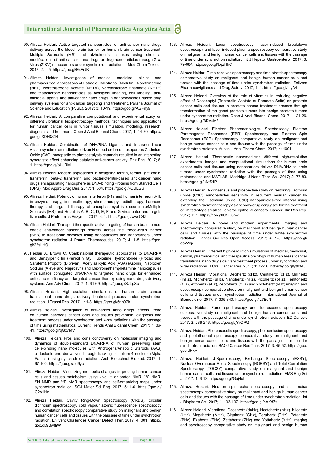- 90. Alireza Heidari. Active targeted nanoparticles for anti-cancer nano drugs delivery across the blood- brain barrier for human brain cancer treatment, Multiple Sclerosis (MS) and alzheimer's diseases using chemical modifications of anti-cancer nano drugs or drug-nanoparticles through Zika Virus (ZIKV) nanocarriers under synchrotron radiation. J Med Chem Toxicol. 2017; 2: 1-5. https://goo.gl/EsFrJK
- 91. Alireza Heidari. Investigation of medical, medicinal, clinical and pharmaceutical applications of Estradiol, Mestranol (Norlutin), Norethindrone (NET), Norethisterone Acetate (NETA), Norethisterone Enanthate (NETE) and testosterone nanoparticles as biological imaging, cell labeling, antimicrobial agents and anti-cancer nano drugs in nanomedicines based drug delivery systems for anti-cancer targeting and treatment. Parana Journal of Science and Education (PJSE). 2017; 3: 10-19. https://goo.gl/AGPny9
- 92. Alireza Heidari. A comparative computational and experimental study on different vibrational biospectroscopy methods, techniques and applications for human cancer cells in tumor tissues simulation, modeling, research, diagnosis and treatment. Open J Anal Bioanal Chem. 2017; 1: 14-20. https:// goo.gl/XDHQZH
- 93. Alireza Heidari. Combination of DNA/RNA Ligands and linear/non-linear visible-synchrotron radiation- driven N-doped ordered mesoporous Cadmium Oxide (CdO) nanoparticles photocatalysts channels resulted in an interesting synergistic effect enhancing catalytic anti-cancer activity. Enz Eng. 2017; 6: 1. https://goo.gl/okURML
- 94. Alireza Heidari. Modern approaches in designing ferritin, ferritin light chain, transferrin, beta-2 transferrin and bacterioferritin-based anti-cancer nano drugs encapsulating nanosphere as DNA-binding Proteins from Starved Cells (DPS). Mod Appro Drug Des. 2017; 1: 504. https://goo.gl/kQULGu
- 95. Alireza Heidari. Potency of human interferon β-1a and human interferon β-1b in enzymotherapy, immunotherapy, chemotherapy, radiotherapy, hormone therapy and targeted therapy of encephalomyelitis disseminate/Multiple Sclerosis (MS) and Hepatitis A, B, C, D, E, F and G virus enter and targets liver cells. J Proteomics Enzymol. 2017; 6: 1. https://goo.gl/wwcC4Z
- 96. Alireza Heidari. Transport therapeutic active targeting of human brain tumors enable anti-cancer nanodrugs delivery across the Blood-Brain Barrier (BBB) to treat brain diseases using nanoparticles and nanocarriers under synchrotron radiation. J Pharm Pharmaceutics. 2017; 4: 1-5. https://goo. gl/22sLHQ
- 97. Heidari A, Brown C. Combinatorial therapeutic approaches to DNA/RNA and Benzylpenicillin (Penicillin G), Fluoxetine Hydrochloride (Prozac and Sarafem), Propofol (Diprivan), Acetylsalicylic Acid (ASA) (Aspirin), Naproxen Sodium (Aleve and Naprosyn) and Dextromethamphetamine nanocapsules with surface conjugated DNA/RNA to targeted nano drugs for enhanced anti-cancer efficacy and targeted cancer therapy using nano drugs delivery systems. Ann Adv Chem. 2017; 1: 61-69. https://goo.gl/SJLpXc
- 98. Alireza Heidari. High-resolution simulations of human brain cancer translational nano drugs delivery treatment process under synchrotron radiation. J Transl Res. 2017; 1: 1-3. https://goo.gl/5nh97h
- 99. Alireza Heidari. Investigation of anti-cancer nano drugs' effects' trend on human pancreas cancer cells and tissues prevention, diagnosis and treatment process under synchrotron and x-ray radiations with the passage of time using mathematica. Current Trends Anal Bioanal Chem. 2017; 1: 36- 41. https://goo.gl/qGx7MV
- 100. Alireza Heidari. Pros and cons controversy on molecular imaging and dynamics of double-standard DNA/RNA of human preserving stem cells-binding nano molecules with Androgens/Anabolic Steroids (AAS) or testosterone derivatives through tracking of helium-4 nucleus (Alpha Particle) using synchrotron radiation. Arch Biotechnol Biomed. 2017; 1: 67-100. https://goo.gl/atd9yc
- 101. Alireza Heidari. Visualizing metabolic changes in probing human cancer cells and tissues metabolism using vivo  $1H$  or proton NMR.  $13C$  NMR. <sup>15</sup>N NMR and <sup>31</sup>P NMR spectroscopy and self-organizing maps under synchrotron radiation. SOJ Mater Sci Eng. 2017; 5: 1-6. https://goo.gl/ G2o1Hx
- 102. Alireza Heidari. Cavity Ring-Down Spectroscopy (CRDS), circular dichroism spectroscopy, cold vapour atomic fluorescence spectroscopy and correlation spectroscopy comparative study on malignant and benign human cancer cells and tissues with the passage of time under synchrotron radiation. Enliven: Challenges Cancer Detect Ther. 2017; 4: 001. https:// goo.gl/9BwfhW
- 103. Alireza Heidari. Laser spectroscopy, laser-induced breakdown spectroscopy and laser-induced plasma spectroscopy comparative study on malignant and benign human cancer cells and tissues with the passage of time under synchrotron radiation. Int J Hepatol Gastroenterol. 2017; 3: 79-084. https://goo.gl/bqzHhC
- 104. Alireza Heidari. Time-resolved spectroscopy and time-stretch spectroscopy comparative study on malignant and benign human cancer cells and tissues with the passage of time under synchrotron radiation. Enliven: Pharmacovigilance and Drug Safety. 2017; 4: 1. https://goo.gl/t1yfVi
- 105. Alireza Heidari. Overview of the role of vitamins in reducing negative effect of Decapeptyl (Triptorelin Acetate or Pamoate Salts) on prostate cancer cells and tissues in prostate cancer treatment process through transformation of malignant prostate tumors into benign prostate tumors under synchrotron radiation. Open J Anal Bioanal Chem. 2017; 1: 21-26. https://goo.gl/3DVsM6
- 106. Alireza Heidari. Electron Phenomenological Spectroscopy, Electron Paramagnetic Resonance (EPR) Spectroscopy and Electron Spin Resonance (ESR) Spectroscopy comparative study on malignant and benign human cancer cells and tissues with the passage of time under synchrotron radiation. Austin J Anal Pharm Chem. 2017; 4: 1091.
- Alireza Heidari. Therapeutic nanomedicine different high-resolution experimental images and computational simulations for human brain cancer cells and tissues using nanocarriers deliver DNA/RNA to brain tumors under synchrotron radiation with the passage of time using mathematica and MATLAB. Madridge J Nano Tech Sci. 2017; 2: 77-83. https://goo.gl/kNtS4P
- 108. Alireza Heidari. A consensus and prospective study on restoring Cadmium Oxide (CdO) nanoparticles sensitivity in recurrent ovarian cancer by extending the Cadmium Oxide (CdO) nanoparticles-free interval using synchrotron radiation therapy as antibody-drug conjugate for the treatment of limited-stage small cell diverse epithelial cancers. Cancer Clin Res Rep. 2017; 1: 1. https://goo.gl/Q9G5hw
- 109. Alireza Heidari. A novel and modern experimental imaging and spectroscopy comparative study on malignant and benign human cancer cells and tissues with the passage of time under white synchrotron radiation. Cancer Sci Res Open Access. 2017; 4: 1-8. https://goo.gl/ do22xp
- 110. Alireza Heidari. Different high-resolution simulations of medical, medicinal, clinical, pharmaceutical and therapeutics oncology of human breast cancer translational nano drugs delivery treatment process under synchrotron and x-ray radiations. J Oral Cancer Res. 2017; 1: 12-18. https://goo.gl/yt8348
- 111. Alireza Heidari. Vibrational Decihertz (dHz), Centihertz (cHz), Millihertz (mHz), Microhertz (μHz), Nanohertz (nHz), Picohertz (pHz), Femtohertz (fHz), Attohertz (aHz), Zeptohertz (zHz) and Yoctohertz (yHz) imaging and spectroscopy comparative study on malignant and benign human cancer cells and tissues under synchrotron radiation. International Journal of Biomedicine. 2017; 7: 335-340. https://goo.gl/iL7EcN
- 112. Alireza Heidari. Force spectroscopy and fluorescence spectroscopy comparative study on malignant and benign human cancer cells and tissues with the passage of time under synchrotron radiation. EC Cancer. 2017; 2: 239-246. https://goo.gl/jYvDPQ
- 113. Alireza Heidari. Photoacoustic spectroscopy, photoemission spectroscopy and photothermal spectroscopy comparative study on malignant and benign human cancer cells and tissues with the passage of time under synchrotron radiation. BAOJ Cancer Res Ther. 2017; 3: 45-52. https://goo. gl/crdHkV
- 114. Alireza Heidari. J-Spectroscopy, Exchange Spectroscopy (EXSY), Nuclear Overhauser Effect Spectroscopy (NOESY) and Total Correlation Spectroscopy (TOCSY) comparative study on malignant and benign human cancer cells and tissues under synchrotron radiation. EMS Eng Sci J. 2017; 1: 6-13. https://goo.gl/Guj4uh
- 115. Alireza Heidari. Neutron spin echo spectroscopy and spin noise spectroscopy comparative study on malignant and benign human cancer cells and tissues with the passage of time under synchrotron radiation. Int J Biopharm Sci. 2017; 1: 103-107. https://goo.gl/nAKdZz
- 116. Alireza Heidari. Vibrational Decahertz (daHz), Hectohertz (hHz), Kilohertz (kHz), Megahertz (MHz), Gigahertz (GHz), Terahertz (THz), Petahertz (PHz), Exahertz (EHz), Zettahertz (ZHz) and Yottahertz (YHz) Imaging and spectroscopy comparative study on malignant and benign human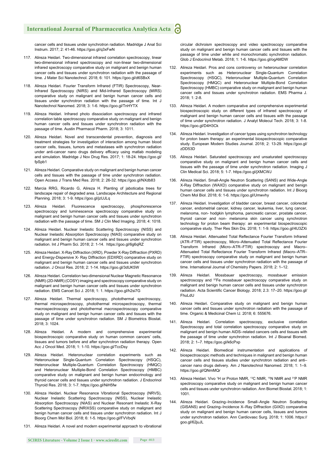cancer cells and tissues under synchrotron radiation. Madridge J Anal Sci Instrum. 2017; 2: 41-46. https://goo.gl/q3xFwN

- 117. Alireza Heidari. Two-dimensional infrared correlation spectroscopy, linear two-dimensional infrared spectroscopy and non-linear two-dimensional infrared spectroscopy comparative study on malignant and benign human cancer cells and tissues under synchrotron radiation with the passage of time. J Mater Sci Nanotechnol. 2018; 6: 101. https://goo.gl/d6SBxX
- 118. Alireza Heidari. Fourier Transform Infrared (FTIR) Spectroscopy, Near-Infrared Spectroscopy (NIRS) and Mid-Infrared Spectroscopy (MIRS) comparative study on malignant and benign human cancer cells and tissues under synchrotron radiation with the passage of time. Int J Nanotechnol Nanomed. 2018; 3: 1-6. https://goo.gl/TnHYTX
- 119. Alireza Heidari. Infrared photo dissociation spectroscopy and infrared correlation table spectroscopy comparative study on malignant and benign human cancer cells and tissues under synchrotron radiation with the passage of time. Austin Pharmacol Pharm. 2018; 3: 1011.
- 120. Alireza Heidari. Novel and transcendental prevention, diagnosis and treatment strategies for investigation of interaction among human blood cancer cells, tissues, tumors and metastases with synchrotron radiation under anti-cancer nano drugs delivery efficacy using matlab modeling and simulation. Madridge J Nov Drug Res. 2017; 1: 18-24. https://goo.gl/ fpSpb1
- 121. Alireza Heidari. Comparative study on malignant and benign human cancer cells and tissues with the passage of time under synchrotron radiation. Open Access J Trans Med Res. 2018; 2: 26-32. https://goo.gl/NXdb83
- 122. Marcia RRG, Ricardo G, Alireza H. Planting of jaboticaba trees for landscape repair of degraded area. Landscape Architecture and Regional Planning. 2018; 3: 1-9. https://goo.gl/jzUJLq
- 123. Alireza Heidari. Fluorescence spectroscopy, phosphorescence spectroscopy and luminescence spectroscopy comparative study on malignant and benign human cancer cells and tissues under synchrotron radiation with the passage of time. SM J Clin Med Imaging. 2018; 4: 1018.
- 124. Alireza Heidari. Nuclear Inelastic Scattering Spectroscopy (NISS) and Nuclear Inelastic Absorption Spectroscopy (NIAS) comparative study on malignant and benign human cancer cells and tissues under synchrotron radiation. Int J Pharm Sci. 2018; 2: 1-14. https://goo.gl/6g6qRZ
- 125. Alireza Heidari. X-Ray Diffraction (XRD), Powder X-Ray Diffraction (PXRD) and Energy-Dispersive X- Ray Diffraction (EDXRD) comparative study on malignant and benign human cancer cells and tissues under synchrotron radiation. J Oncol Res. 2018; 2: 1-14. https://goo.gl/3dUK5W
- 126. Alireza Heidari. Correlation two-dimensional Nuclear Magnetic Resonance (NMR) (2D-NMR) (COSY) imaging and spectroscopy comparative study on malignant and benign human cancer cells and tissues under synchrotron radiation. EMS Cancet Sci J. 2018; 1: 1. https://goo.gl/h2si7G
- 127. Alireza Heidari. Thermal spectroscopy, photothermal spectroscopy, thermal microspectroscopy, photothermal microspectroscopy, thermal macrospectroscopy and photothermal macrospectroscopy comparative study on malignant and benign human cancer cells and tissues with the passage of time under synchrotron radiation. SM J Biometrics Biostat. 2018; 3: 1024.
- 128. Alireza Heidari. A modern and comprehensive experimental biospectroscopic comparative study on human common cancers' cells, tissues and tumors before and after synchrotron radiation therapy. Open Acc J Oncol Med. 2018; 1: 1-10. https://goo.gl/TccDsy
- 129. Alireza Heidari. Heteronuclear correlation experiments such as Heteronuclear Single-Quantum Correlation Spectroscopy (HSQC), Heteronuclear Multiple-Quantum Correlation Spectroscopy (HMQC) and Heteronuclear Multiple-Bond Correlation Spectroscopy (HMBC) comparative study on malignant and benign human endocrinology and thyroid cancer cells and tissues under synchrotron radiation. J Endocrinol Thyroid Res. 2018; 3: 1-7. https://goo.gl/NiH5fw
- 130. Alireza Heidari. Nuclear Resonance Vibrational Spectroscopy (NRVS), Nuclear Inelastic Scattering Spectroscopy (NISS), Nuclear Inelastic Absorption Spectroscopy (NIAS) and Nuclear Resonant Inelastic X-Ray Scattering Spectroscopy (NRIXSS) comparative study on malignant and benign human cancer cells and tissues under synchrotron radiation. Int J Bioorg Chem Mol Biol. 2018; 6: 1-5. https://goo.gl/FVVbqN
- 131. Alireza Heidari. A novel and modern experimental approach to vibrational

circular dichroism spectroscopy and video spectroscopy comparative study on malignant and benign human cancer cells and tissues with the passage of time under white and monochromatic synchrotron radiation. Glob J Endocrinol Metab. 2018; 1: 1-6. https://goo.gl/ogAMDW

- 132. Alireza Heidari. Pros and cons controversy on heteronuclear correlation experiments such as Heteronuclear Single-Quantum Correlation Spectroscopy (HSQC), Heteronuclear Multiple-Quantum Correlation Spectroscopy (HMQC) and Heteronuclear Multiple-Bond Correlation Spectroscopy (HMBC) comparative study on malignant and benign human cancer cells and tissues under synchrotron radiation. EMS Pharma J. 2018; 1: 2-8.
- 133. Alireza Heidari. A modern comparative and comprehensive experimental biospectroscopic study on different types of infrared spectroscopy of malignant and benign human cancer cells and tissues with the passage of time under synchrotron radiation. J Analyt Molecul Tech. 2018; 3: 1-8. https://goo.gl/D4H3Ck
- 134. Alireza Heidari. Investigation of cancer types using synchrotron technology for proton beam therapy: an experimental biospectroscopic comparative study. European Modern Studies Journal. 2018; 2: 13-29. https://goo.gl/ zDD53D
- 135. Alireza Heidari. Saturated spectroscopy and unsaturated spectroscopy comparative study on malignant and benign human cancer cells and tissues with the passage of time under synchrotron radiation. Imaging J Clin Medical Sci. 2018; 5: 1-7. https://goo.gl/jXMCWJ
- 136. Alireza Heidari. Small-Angle Neutron Scattering (SANS) and Wide-Angle X-Ray Diffraction (WAXD) comparative study on malignant and benign human cancer cells and tissues under synchrotron radiation. Int J Bioorg Chem Mol Biol. 2018; 6: 1-6. https://goo.gl/Umwvhy
- 137. Alireza Heidari. Investigation of bladder cancer, breast cancer, colorectal cancer, endometrial cancer, kidney cancer, leukemia, liver, lung cancer, melanoma, non- hodgkin lymphoma, pancreatic cancer, prostate cancer, thyroid cancer and non- melanoma skin cancer using synchrotron technology for proton beam therapy: an experimental biospectroscopic comparative study. Ther Res Skin Dis. 2018; 1: 1-9. https://goo.gl/4U3ZXi
- 138. Alireza Heidari. Attenuated Total Reflectance Fourier Transform Infrared (ATR–FTIR) spectroscopy, Micro–Attenuated Total Reflectance Fourier Transform Infrared (Micro–ATR–FTIR) spectroscopy and Macro– Attenuated Total Reflectance Fourier Transform Infrared (Macro-ATR-FTIR) spectroscopy comparative study on malignant and benign human cancer cells and tissues under synchrotron radiation with the passage of time. International Journal of Chemistry Papers. 2018; 2: 1–12.
- 139. Alireza Heidari. Mossbauer spectroscopy, mossbauer emission spectroscopy and <sup>57</sup>Fe mossbauer spectroscopy comparative study on malignant and benign human cancer cells and tissues under synchrotron radiation. Acta Scientific Cancer Biology. 2018; 2.3: 17-20. https://goo.gl/ FhuLdU
- 140. Alireza Heidari. Comparative study on malignant and benign human cancer cells and tissues under synchrotron radiation with the passage of time. Organic & Medicinal Chem IJ. 2018; 6: 555676.
- 141. Alireza Heidari. Correlation spectroscopy, exclusive correlation Spectroscopy and total correlation spectroscopy comparative study on malignant and benign human AIDS–related cancers cells and tissues with the passage of time under synchrotron radiation. Int J Bioanal Biomed. 2018; 2: 1–7. https://goo.gl/k6cPxp
- 142. Alireza Heidari. Biomedical instrumentation and applications of biospectroscopic methods and techniques in malignant and benign human cancer cells and tissues studies under synchrotron radiation and anti– cancer nano drugs delivery. Am J Nanotechnol Nanomed. 2018; 1: 1–9. https://goo.gl/QNmMQr
- 143. Alireza Heidari. Vivo <sup>1</sup>H or Proton NMR, <sup>13</sup>C NMR, <sup>15</sup>N NMR and <sup>31</sup>P NMR spectroscopy comparative study on malignant and benign human cancer cells and tissues under synchrotron radiation. Ann Biomet Biostat. 2018; 1: 1001.
- 144. Alireza Heidari. Grazing–Incidence Small–Angle Neutron Scattering (GISANS) and Grazing–Incidence X–Ray Diffraction (GIXD) comparative study on malignant and benign human cancer cells, tissues and tumors under synchrotron radiation. Ann Cardiovasc Surg. 2018; 1: 1006. https:// goo.gl/62juJL